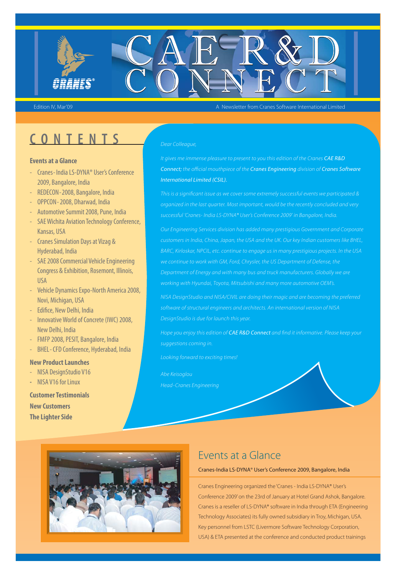

Edition IV, Mar'09 A Newsletter from Cranes Software International Limited

## **CONTENTS**

#### **Events at a Glance**

- Cranes- India LS-DYNA® User's Conference 2009, Bangalore, India
- REDECON-2008, Bangalore, India
- OPPCON- 2008, Dharwad, India
- Automotive Summit 2008, Pune, India
- SAE Wichita Aviation Technology Conference, Kansas, USA
- Cranes Simulation Days at Vizag & Hyderabad, India
- SAE 2008 Commercial Vehicle Engineering Congress & Exhibition, Rosemont, Illinois, USA
- Vehicle Dynamics Expo-North America 2008, Novi, Michigan, USA
- Edifice, New Delhi, India
- Innovative World of Concrete (IWC) 2008, New Delhi, India
- FMFP 2008, PESIT, Bangalore, India
- BHEL- CFD Conference, Hyderabad, India

#### **New Product Launches**

- NISA DesignStudio V16
- **-** NISA V16 for Linux

#### **Customer Testimonials New Customers The Lighter Side**

#### Dear Colleague,

It gives me immense pleasure to present to you this edition of the Cranes *CAE R&D Connect;* the official mouthpiece of the *Cranes Engineering* division of *Cranes Software International Limited (CSIL).*

successful 'Cranes- India LS-DYNA® User's Conference 2009' in Bangalore, India.

Our Engineering Services division has added many prestigious Government and Corporate BARC, Kirloskar, NPCIL, etc. continue to engage us in many prestigious projects. In the USA Department of Energy and with many bus and truck manufacturers. Globally we are working with Hyundai, Toyota, Mitsubishi and many more automotive OEM's.

software of structural engineers and architects. An international version of NISA DesignStudio is due for launch this year.

Hope you enjoy this edition of *CAE R&D Connect* and find it informative. Please keep your suggestions coming in.

Looking forward to exciting times!

Abe Keisoglou



#### Events at a Glance

#### Cranes-India LS-DYNA® User's Conference 2009, Bangalore, India

Cranes Engineering organized the 'Cranes - India LS-DYNA® User's Conference 2009' on the 23rd of January at Hotel Grand Ashok, Bangalore. Cranes is a reseller of LS-DYNA® software in India through ETA (Engineering Technology Associates) its fully owned subsidiary in Troy, Michigan, USA. Key personnel from LSTC (Livermore Software Technology Corporation, USA) & ETA presented at the conference and conducted product trainings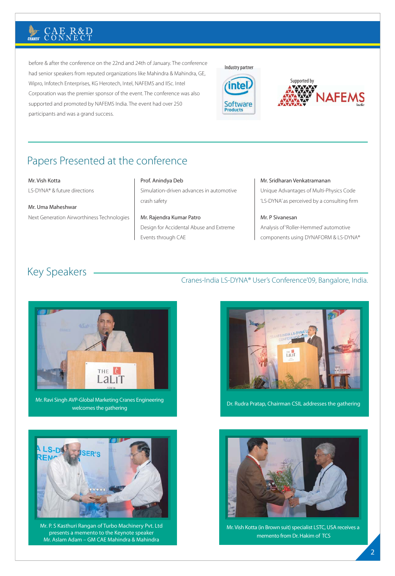before & after the conference on the 22nd and 24th of January. The conference had senior speakers from reputed organizations like Mahindra & Mahindra, GE, Wipro, Infotech Enterprises, KG Herotech, Intel, NAFEMS and IISc. Intel Corporation was the premier sponsor of the event. The conference was also supported and promoted by NAFEMS India. The event had over 250 participants and was a grand success.





## Papers Presented at the conference

#### Mr. Vish Kotta

LS-DYNA® & future directions

Mr. Uma Maheshwar Next Generation Airworthiness Technologies

#### Prof. Anindya Deb

Simulation-driven advances in automotive crash safety

Mr. Rajendra Kumar Patro Design for Accidental Abuse and Extreme Events through CAE

#### Mr. Sridharan Venkatramanan

Unique Advantages of Multi-Physics Code 'LS-DYNA' as perceived by a consulting firm

Mr. P Sivanesan Analysis of 'Roller-Hemmed' automotive components using DYNAFORM & LS-DYNA®

## Key Speakers Cranes-India LS-DYNA® User's Conference'09, Bangalore, India.



Mr. Ravi Singh AVP-Global Marketing Cranes Engineering welcomes the gathering



Mr. P. S Kasthuri Rangan of Turbo Machinery Pvt. Ltd presents a memento to the Keynote speaker Mr. Aslam Adam – GM CAE Mahindra & Mahindra



Dr. Rudra Pratap, Chairman CSIL addresses the gathering



Mr. Vish Kotta (in Brown suit) specialist LSTC, USA receives a memento from Dr. Hakim of TCS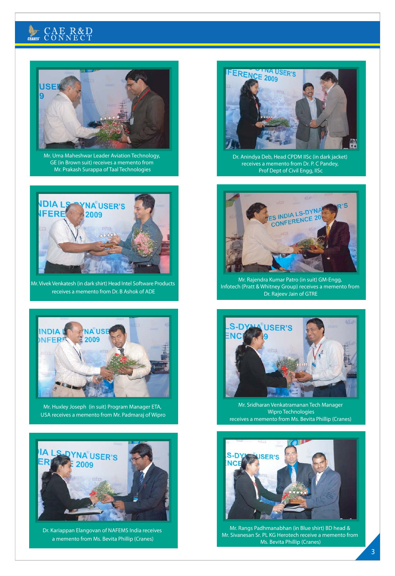## $\mathbb{E}$



Mr. Uma Maheshwar Leader Aviation Technology, GE (in Brown suit) receives a memento from Mr. Prakash Surappa of Taal Technologies



Mr. Vivek Venkatesh (in dark shirt) Head Intel Software Products receives a memento from Dr. B Ashok of ADE



Mr. Huxley Joseph (in suit) Program Manager ETA, USA receives a memento from Mr. Padmaraj of Wipro



Dr. Kariappan Elangovan of NAFEMS India receives a memento from Ms. Bevita Phillip (Cranes)



Dr. Anindya Deb, Head CPDM IISc (in dark jacket) receives a memento from Dr. P. C Pandey, Prof Dept of Civil Engg, IISc



Mr. Rajendra Kumar Patro (in suit) GM-Engg, Infotech (Pratt & Whitney Group) receives a memento from Dr. Rajeev Jain of GTRE



Mr. Sridharan Venkatramanan Tech Manager Wipro Technologies receives a memento from Ms. Bevita Phillip (Cranes)



Mr. Rangs Padhmanabhan (in Blue shirt) BD head & Mr. Sivanesan Sr. PL KG Herotech receive a memento from Ms. Bevita Phillip (Cranes)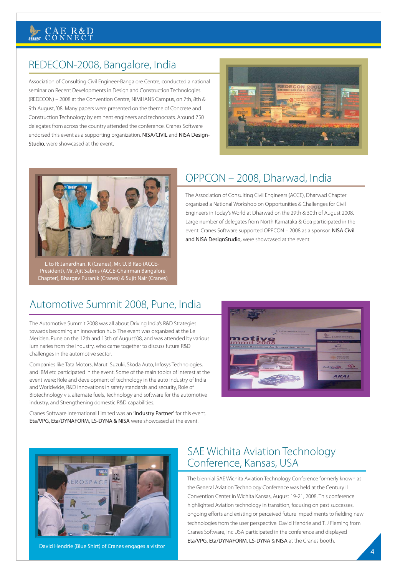## REDECON-2008, Bangalore, India

Association of Consulting Civil Engineer-Bangalore Centre, conducted a national seminar on Recent Developments in Design and Construction Technologies (REDECON) – 2008 at the Convention Centre, NIMHANS Campus, on 7th, 8th & 9th August, '08. Many papers were presented on the theme of Concrete and Construction Technology by eminent engineers and technocrats. Around 750 delegates from across the country attended the conference. Cranes Software endorsed this event as a supporting organization. NISA/CIVIL and NISA Design-Studio, were showcased at the event.





L to R: Janardhan. K (Cranes), Mr. U. B Rao (ACCE-President), Mr. Ajit Sabnis (ACCE-Chairman Bangalore Chapter), Bhargav Puranik (Cranes) & Sujit Nair (Cranes)

## OPPCON – 2008, Dharwad, India

The Association of Consulting Civil Engineers (ACCE), Dharwad Chapter organized a National Workshop on Opportunities & Challenges for Civil Engineers in Today's World at Dharwad on the 29th & 30th of August 2008. Large number of delegates from North Karnataka & Goa participated in the event. Cranes Software supported OPPCON – 2008 as a sponsor. NISA Civil and NISA DesignStudio, were showcased at the event.

### Automotive Summit 2008, Pune, India

The Automotive Summit 2008 was all about Driving India's R&D Strategies towards becoming an innovation hub. The event was organized at the Le Meriden, Pune on the 12th and 13th of August'08, and was attended by various luminaries from the industry, who came together to discuss future R&D challenges in the automotive sector.

Companies like Tata Motors, Maruti Suzuki, Skoda Auto, Infosys Technologies, and IBM etc participated in the event. Some of the main topics of interest at the event were; Role and development of technology in the auto industry of India and Worldwide, R&D innovations in safety standards and security, Role of Biotechnology vis. alternate fuels, Technology and software for the automotive industry, and Strengthening domestic R&D capabilities.

Cranes Software International Limited was an 'Industry Partner' for this event. Eta/VPG, Eta/DYNAFORM, LS-DYNA & NISA were showcased at the event.





David Hendrie (Blue Shirt) of Cranes engages a visitor

#### SAE Wichita Aviation Technology Conference, Kansas, USA

The biennial SAE Wichita Aviation Technology Conference formerly known as the General Aviation Technology Conference was held at the Century II Convention Center in Wichita Kansas, August 19-21, 2008. This conference highlighted Aviation technology in transition, focusing on past successes, ongoing efforts and existing or perceived future impediments to fielding new technologies from the user perspective. David Hendrie and T. J Fleming from Cranes Software, Inc USA participated in the conference and displayed Eta/VPG, Eta/DYNAFORM, LS-DYNA & NISA at the Cranes booth.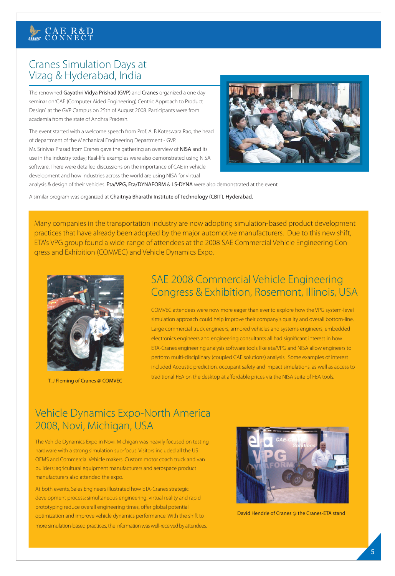### Cranes Simulation Days at Vizag & Hyderabad, India

The renowned Gayathri Vidya Prishad (GVP) and Cranes organized a one day seminar on 'CAE (Computer Aided Engineering) Centric Approach to Product Design' at the GVP Campus on 25th of August 2008. Participants were from academia from the state of Andhra Pradesh.

The event started with a welcome speech from Prof. A. B Koteswara Rao, the head of department of the Mechanical Engineering Department - GVP. Mr. Srinivas Prasad from Cranes gave the gathering an overview of NISA and its use in the industry today; Real-life examples were also demonstrated using NISA software. There were detailed discussions on the importance of CAE in vehicle development and how industries across the world are using NISA for virtual



analysis & design of their vehicles. Eta/VPG, Eta/DYNAFORM & LS-DYNA were also demonstrated at the event.

A similar program was organized at Chaitnya Bharathi Institute of Technology (CBIT), Hyderabad.

Many companies in the transportation industry are now adopting simulation-based product development practices that have already been adopted by the major automotive manufacturers. Due to this new shift, ETA's VPG group found a wide-range of attendees at the 2008 SAE Commercial Vehicle Engineering Congress and Exhibition (COMVEC) and Vehicle Dynamics Expo.



T. J Fleming of Cranes @ COMVEC

### SAE 2008 Commercial Vehicle Engineering Congress & Exhibition, Rosemont, Illinois, USA

COMVEC attendees were now more eager than ever to explore how the VPG system-level simulation approach could help improve their company's quality and overall bottom-line. Large commercial truck engineers, armored vehicles and systems engineers, embedded electronics engineers and engineering consultants all had significant interest in how ETA-Cranes engineering analysis software tools like eta/VPG and NISA allow engineers to perform multi-disciplinary (coupled CAE solutions) analysis. Some examples of interest included Acoustic prediction, occupant safety and impact simulations, as well as access to traditional FEA on the desktop at affordable prices via the NISA suite of FEA tools.

### Vehicle Dynamics Expo-North America 2008, Novi, Michigan, USA

The Vehicle Dynamics Expo in Novi, Michigan was heavily focused on testing hardware with a strong simulation sub-focus. Visitors included all the US OEMS and Commercial Vehicle makers. Custom motor coach truck and van builders; agricultural equipment manufacturers and aerospace product manufacturers also attended the expo.

At both events, Sales Engineers illustrated how ETA-Cranes strategic development process; simultaneous engineering, virtual reality and rapid prototyping reduce overall engineering times, offer global potential optimization and improve vehicle dynamics performance. With the shift to more simulation-based practices, the information was well-received by attendees.



David Hendrie of Cranes @ the Cranes-ETA stand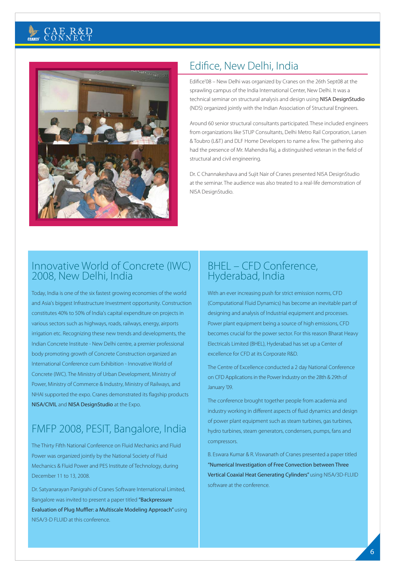

### Edifice, New Delhi, India

Edifice'08 – New Delhi was organized by Cranes on the 26th Sept08 at the sprawling campus of the India International Center, New Delhi. It was a technical seminar on structural analysis and design using NISA DesignStudio (NDS) organized jointly with the Indian Association of Structural Engineers.

Around 60 senior structural consultants participated. These included engineers from organizations like STUP Consultants, Delhi Metro Rail Corporation, Larsen & Toubro (L&T) and DLF Home Developers to name a few. The gathering also had the presence of Mr. Mahendra Raj, a distinguished veteran in the field of structural and civil engineering.

Dr. C Channakeshava and Sujit Nair of Cranes presented NISA DesignStudio at the seminar. The audience was also treated to a real-life demonstration of NISA DesignStudio.

#### Innovative World of Concrete (IWC) 2008, New Delhi, India

Today, India is one of the six fastest growing economies of the world and Asia's biggest Infrastructure Investment opportunity. Construction constitutes 40% to 50% of India's capital expenditure on projects in various sectors such as highways, roads, railways, energy, airports irrigation etc. Recognizing these new trends and developments, the Indian Concrete Institute - New Delhi centre, a premier professional body promoting growth of Concrete Construction organized an International Conference cum Exhibition - Innovative World of Concrete (IWC). The Ministry of Urban Development, Ministry of Power, Ministry of Commerce & Industry, Ministry of Railways, and NHAI supported the expo. Cranes demonstrated its flagship products NISA/CIVIL and NISA DesignStudio at the Expo.

## FMFP 2008, PESIT, Bangalore, India

The Thirty Fifth National Conference on Fluid Mechanics and Fluid Power was organized jointly by the National Society of Fluid Mechanics & Fluid Power and PES Institute of Technology, during December 11 to 13, 2008.

Dr. Satyanarayan Panigrahi of Cranes Software International Limited, Bangalore was invited to present a paper titled "Backpressure Evaluation of Plug Muffler: a Multiscale Modeling Approach" using NISA/3-D FLUID at this conference.

#### BHEL – CFD Conference, Hyderabad, India

With an ever increasing push for strict emission norms, CFD (Computational Fluid Dynamics) has become an inevitable part of designing and analysis of Industrial equipment and processes. Power plant equipment being a source of high emissions, CFD becomes crucial for the power sector. For this reason Bharat Heavy Electricals Limited (BHEL), Hyderabad has set up a Center of excellence for CFD at its Corporate R&D.

The Centre of Excellence conducted a 2 day National Conference on CFD Applications in the Power Industry on the 28th & 29th of January '09.

The conference brought together people from academia and industry working in different aspects of fluid dynamics and design of power plant equipment such as steam turbines, gas turbines, hydro turbines, steam generators, condensers, pumps, fans and compressors.

B. Eswara Kumar & R. Viswanath of Cranes presented a paper titled "Numerical Investigation of Free Convection between Three Vertical Coaxial Heat Generating Cylinders" using NISA/3D-FLUID software at the conference.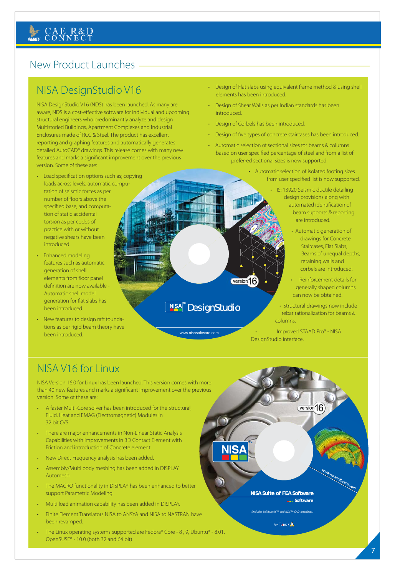### New Product Launches -

## NISA DesignStudio V16

NISA DesignStudio V16 (NDS) has been launched. As many are aware, NDS is a cost-effective software for individual and upcoming structural engineers who predominantly analyze and design Multistoried Buildings, Apartment Complexes and Industrial Enclosures made of RCC & Steel. The product has excellent reporting and graphing features and automatically generates detailed AutoCAD® drawings. This release comes with many new features and marks a significant improvement over the previous version. Some of these are:

- Load specification options such as; copying loads across levels, automatic computation of seismic forces as per number of floors above the specified base, and computation of static accidental torsion as per codes of practice with or without negative shears have been introduced.
- Enhanced modeling features such as automatic generation of shell elements from floor panel definition are now available - Automatic shell model generation for flat slabs has been introduced.
- New features to design raft foundations as per rigid beam theory have been introduced.

• Design of Flat slabs using equivalent frame method & using shell elements has been introduced.

- Design of Shear Walls as per Indian standards has been introduced.
- Design of Corbels has been introduced.

version 16

**NISA<sup>T</sup>** DesignStudio

www.nisasoftware.com

- Design of five types of concrete staircases has been introduced.
- Automatic selection of sectional sizes for beams & columns based on user specified percentage of steel and from a list of preferred sectional sizes is now supported.
	- Automatic selection of isolated footing sizes from user specified list is now supported.
		- IS: 13920 Seismic ductile detailing design provisions along with automated identification of beam supports & reporting are introduced.
			- Automatic generation of drawings for Concrete Staircases, Flat Slabs, Beams of unequal depths, retaining walls and corbels are introduced.
			- Reinforcement details for generally shaped columns can now be obtained.
		- Structural drawings now include rebar rationalization for beams & columns.

• Improved STAAD Pro® - NISA DesignStudio interface.

version 16

### NISA V16 for Linux

NISA Version 16.0 for Linux has been launched. This version comes with more than 40 new features and marks a significant improvement over the previous version. Some of these are:

- A faster Multi-Core solver has been introduced for the Structural, Fluid, Heat and EMAG (Electromagnetic) Modules in 32 bit O/S.
- There are major enhancements in Non-Linear Static Analysis Capabilities with improvements in 3D Contact Element with Friction and introduction of Concrete element.
- New Direct Frequency analysis has been added.
- Assembly/Multi body meshing has been added in DISPLAY Automesh.
- The MACRO functionality in DISPLAY has been enhanced to better support Parametric Modeling.
- Multi load animation capability has been added in DISPLAY.
- Finite Element Translators NISA to ANSYA and NISA to NASTRAN have been revamped.
- The Linux operating systems supported are Fedora® Core 8, 9, Ubuntu® 8.01, OpenSUSE® - 10.0 (both 32 and 64 bit)

**NISA Suite of FEA Software** *Software*

*(includes Solidworks™ and ACIS ™ CAD interfaces)*

*For*

www.nisasoftware.com